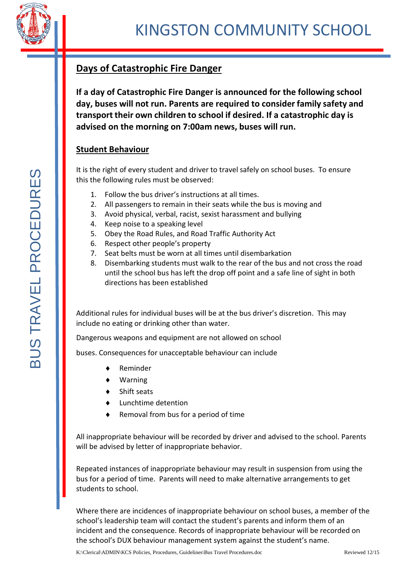

## **Days of Catastrophic Fire Danger**

**If a day of Catastrophic Fire Danger is announced for the following school day, buses will not run. Parents are required to consider family safety and transport their own children to school if desired. If a catastrophic day is advised on the morning on 7:00am news, buses will run.**

## **Student Behaviour**

It is the right of every student and driver to travel safely on school buses. To ensure this the following rules must be observed:

- 1. Follow the bus driver's instructions at all times.
- 2. All passengers to remain in their seats while the bus is moving and
- 3. Avoid physical, verbal, racist, sexist harassment and bullying
- 4. Keep noise to a speaking level
- 5. Obey the Road Rules, and Road Traffic Authority Act
- 6. Respect other people's property
- 7. Seat belts must be worn at all times until disembarkation
- 8. Disembarking students must walk to the rear of the bus and not cross the road until the school bus has left the drop off point and a safe line of sight in both directions has been established

Additional rules for individual buses will be at the bus driver's discretion. This may include no eating or drinking other than water.

Dangerous weapons and equipment are not allowed on school

buses. Consequences for unacceptable behaviour can include

- Reminder
- ♦ Warning
- Shift seats
- Lunchtime detention
- Removal from bus for a period of time

All inappropriate behaviour will be recorded by driver and advised to the school. Parents will be advised by letter of inappropriate behavior.

Repeated instances of inappropriate behaviour may result in suspension from using the bus for a period of time. Parents will need to make alternative arrangements to get students to school.

Where there are incidences of inappropriate behaviour on school buses, a member of the school's leadership team will contact the student's parents and inform them of an incident and the consequence. Records of inappropriate behaviour will be recorded on the school's DUX behaviour management system against the student's name.